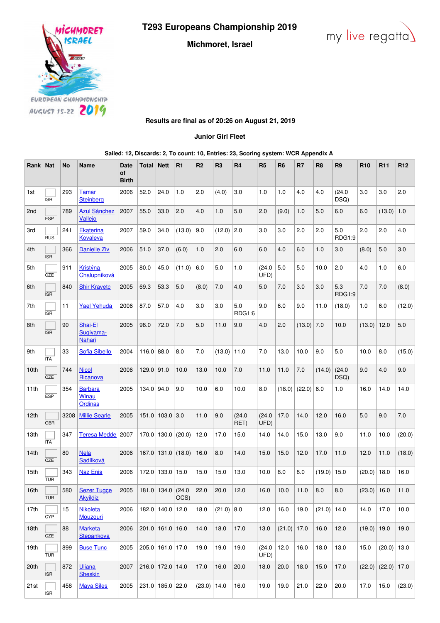**T293 Europeans Championship 2019**

**Michmoret, Israel**





**Results are final as of 20:26 on August 21, 2019**

**Junior Girl Fleet**

**Sailed: 12, Discards: 2, To count: 10, Entries: 23, Scoring system: WCR Appendix A**

| Rank   Nat       |            | No   | <b>Name</b>                               | <b>Date</b><br>οf<br><b>Birth</b> | Total        | <b>Nett</b>           | R <sub>1</sub>                | R <sub>2</sub> | R <sub>3</sub> | R <sub>4</sub> | R <sub>5</sub> | R <sub>6</sub> | R7              | R8            | R9             | <b>R10</b>    | R <sub>11</sub>        | R <sub>12</sub> |
|------------------|------------|------|-------------------------------------------|-----------------------------------|--------------|-----------------------|-------------------------------|----------------|----------------|----------------|----------------|----------------|-----------------|---------------|----------------|---------------|------------------------|-----------------|
| 1st              | <b>ISR</b> | 293  | <b>Tamar</b><br><b>Steinberg</b>          | 2006                              | 52.0         | 24.0                  | 1.0                           | 2.0            | (4.0)          | 3.0            | 1.0            | 1.0            | 4.0             | 4.0           | (24.0)<br>DSQ) | 3.0           | 3.0                    | 2.0             |
| 2 <sub>nd</sub>  | <b>ESP</b> | 789  | <b>Azul Sánchez</b><br>Vallejo            | 2007                              | 55.0         | 33.0                  | 2.0                           | 4.0            | 1.0            | 5.0            | 2.0            | (9.0)          | 1.0             | 5.0           | 6.0            | 6.0           | (13.0)                 | 1.0             |
| 3rd              | <b>RUS</b> | 241  | <b>Ekaterina</b><br>Kovaleva              | 2007                              | 59.0         | 34.0                  | (13.0)                        | 9.0            | $(12.0)$ 2.0   |                | 3.0            | 3.0            | 2.0             | 2.0           | 5.0<br>RDG1:9  | 2.0           | 2.0                    | 4.0             |
| 4th              | <b>ISR</b> | 366  | Danielle Ziv                              | 2006                              | 51.0         | 37.0                  | (6.0)                         | 1.0            | 2.0            | 6.0            | 6.0            | 4.0            | 6.0             | 1.0           | 3.0            | (8.0)         | 5.0                    | 3.0             |
| 5th              | CZE        | 911  | Kristýna<br>Chalupníková                  | 2005                              | 80.0         | 45.0                  | (11.0)                        | 6.0            | 5.0            | 1.0            | (24.0)<br>UFD) | 5.0            | 5.0             | 10.0          | 2.0            | 4.0           | 1.0                    | 6.0             |
| 6th              | <b>ISR</b> | 840  | <b>Shir Kravetc</b>                       | 2005                              | 69.3         | 53.3                  | 5.0                           | (8.0)          | 7.0            | 4.0            | 5.0            | 7.0            | 3.0             | 3.0           | 5.3<br>RDG1:9  | 7.0           | 7.0                    | (8.0)           |
| 7th              | <b>ISR</b> | 11   | <b>Yael Yehuda</b>                        | 2006                              | 87.0         | 57.0                  | 4.0                           | 3.0            | 3.0            | 5.0<br>RDG1:6  | 9.0            | 6.0            | 9.0             | 11.0          | (18.0)         | 1.0           | 6.0                    | (12.0)          |
| 8th              | <b>ISR</b> | 90   | Shai-El<br>Sugiyama-<br>Nahari            | 2005                              | 98.0         | 72.0                  | 7.0                           | 5.0            | 11.0           | 9.0            | 4.0            | 2.0            | (13.0)          | 7.0           | 10.0           | (13.0)        | 12.0                   | 5.0             |
| 9th              | <b>ITA</b> | 33   | <b>Sofia Sibello</b>                      | 2004                              | $116.0$ 88.0 |                       | 8.0                           | 7.0            | (13.0)         | 11.0           | 7.0            | 13.0           | 10.0            | 9.0           | 5.0            | 10.0          | 8.0                    | (15.0)          |
| 10 <sub>th</sub> | CZE        | 744  | <b>Nicol</b><br>Ricanova                  | 2006                              | $129.0$ 91.0 |                       | 10.0                          | 13.0           | 10.0           | 7.0            | 11.0           | 11.0           | 7.0             | (14.0)        | (24.0)<br>DSQ) | 9.0           | 4.0                    | 9.0             |
| 11th             | <b>ESP</b> | 354  | <b>Barbara</b><br><b>Winau</b><br>Ordinas | 2005                              | 134.0 94.0   |                       | 9.0                           | 10.0           | 6.0            | 10.0           | 8.0            |                | $(18.0)$ (22.0) | 6.0           | 1.0            | 16.0          | 14.0                   | 14.0            |
| 12 <sub>th</sub> | <b>GBR</b> | 3208 | <b>Millie Searle</b>                      | 2005                              |              | $151.0$   103.0   3.0 |                               | 11.0           | 9.0            | (24.0)<br>RET) | (24.0)<br>UFD) | 17.0           | 14.0            | 12.0          | 16.0           | 5.0           | 9.0                    | 7.0             |
| 13th             | <b>ITA</b> | 347  | <b>Teresa Medde</b>                       | 2007                              |              |                       | $170.0$   130.0   (20.0)      | 12.0           | 17.0           | 15.0           | 14.0           | 14.0           | 15.0            | 13.0          | 9.0            | 11.0          | 10.0                   | (20.0)          |
| 14th             | CZE        | 80   | <b>Nela</b><br>Sadílková                  | 2006                              |              |                       | $167.0$   131.0 (18.0)        | 16.0           | 8.0            | 14.0           | 15.0           | 15.0           | 12.0            | 17.0          | 11.0           | 12.0          | 11.0                   | (18.0)          |
| 15th             | <b>TUR</b> | 343  | <b>Naz Enis</b>                           | 2006                              |              | 172.0 133.0 15.0      |                               | 15.0           | 15.0           | 13.0           | 10.0           | 8.0            | 8.0             | (19.0)        | 15.0           | (20.0)        | 18.0                   | 16.0            |
| 16th             | <b>TUR</b> | 580  | Sezer Tugge<br><b>Akyildiz</b>            | 2005                              |              |                       | 181.0 $ 134.0 $ (24.0<br>OCS) | 22.0           | 20.0           | 12.0           | 16.0           | 10.0           | 11.0            | 8.0           | $8.0\,$        | $(23.0)$ 16.0 |                        | 11.0            |
| 17th             | <b>CYP</b> | 15   | <b>Nikoleta</b><br>Mouzouri               | 2006                              |              | 182.0 140.0 12.0      |                               | 18.0           | $(21.0)$ 8.0   |                | 12.0           | 16.0           | 19.0            | $(21.0)$ 14.0 |                | 14.0          | 17.0                   | 10.0            |
| 18th             | CZE        | 88   | <b>Marketa</b><br>Stepankova              | 2006                              |              | $201.0$ 161.0 16.0    |                               | 14.0           | 18.0           | 17.0           | 13.0           | $(21.0)$ 17.0  |                 | 16.0          | 12.0           | $(19.0)$ 19.0 |                        | 19.0            |
| 19th             | <b>TUR</b> | 899  | <b>Buse Tunc</b>                          | 2005                              |              | 205.0 161.0 17.0      |                               | 19.0           | 19.0           | 19.0           | (24.0)<br>UFD) | 12.0           | 16.0            | 18.0          | 13.0           | 15.0          | $(20.0)$ 13.0          |                 |
| 20th             | <b>ISR</b> | 872  | <b>Uliana</b><br><b>Sheskin</b>           | 2007                              |              | 216.0 172.0 14.0      |                               | 17.0           | 16.0           | 20.0           | 18.0           | 20.0           | 18.0            | 15.0          | 17.0           |               | $(22.0)$ $(22.0)$ 17.0 |                 |
| 21st             | <b>ISR</b> | 458  | <b>Maya Siles</b>                         | 2005                              |              | 231.0 185.0 22.0      |                               | (23.0)         | 14.0           | 16.0           | 19.0           | 19.0           | 21.0            | 22.0          | 20.0           | 17.0          | 15.0                   | (23.0)          |